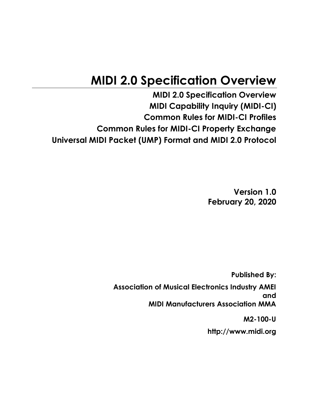# **MIDI 2.0 Specification Overview**

**MIDI 2.0 Specification Overview MIDI Capability Inquiry (MIDI-CI) Common Rules for MIDI-CI Profiles Common Rules for MIDI-CI Property Exchange Universal MIDI Packet (UMP) Format and MIDI 2.0 Protocol**

> **Version 1.0 February 20, 2020**

**Published By: Association of Musical Electronics Industry AMEI and MIDI Manufacturers Association MMA**

**M2-100-U**

**http://www.midi.org**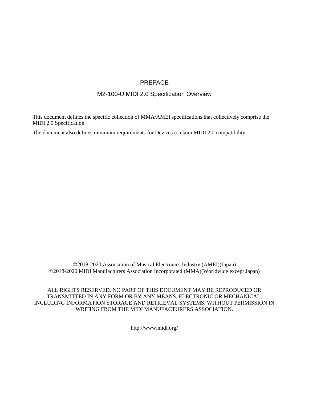#### PREFACE

#### M2-100-U MIDI 2.0 Specification Overview

This document defines the specific collection of MMA/AMEI specifications that collectively comprise the MIDI 2.0 Specification.

The document also defines minimum requirements for Devices to claim MIDI 2.0 compatibility.

©2018-2020 Association of Musical Electronics Industry (AMEI)(Japan) ©2018-2020 MIDI Manufacturers Association Incorporated (MMA)(Worldwide except Japan)

ALL RIGHTS RESERVED. NO PART OF THIS DOCUMENT MAY BE REPRODUCED OR TRANSMITTED IN ANY FORM OR BY ANY MEANS, ELECTRONIC OR MECHANICAL, INCLUDING INFORMATION STORAGE AND RETRIEVAL SYSTEMS, WITHOUT PERMISSION IN WRITING FROM THE MIDI MANUFACTURERS ASSOCIATION.

http://www.midi.org/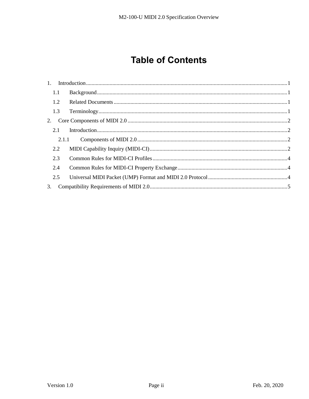## **Table of Contents**

|    | 1.1   |  |
|----|-------|--|
|    | 1.2   |  |
|    | 1.3   |  |
| 2. |       |  |
|    | 2.1   |  |
|    | 2.1.1 |  |
|    | 2.2   |  |
|    | 2.3   |  |
|    | 2.4   |  |
|    | 2.5   |  |
| 3. |       |  |
|    |       |  |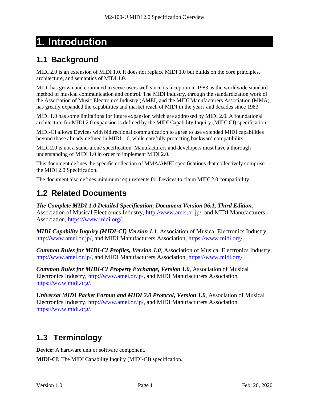# <span id="page-3-0"></span>**1. Introduction**

## <span id="page-3-1"></span>**1.1 Background**

MIDI 2.0 is an extension of MIDI 1.0. It does not replace MIDI 1.0 but builds on the core principles, architecture, and semantics of MIDI 1.0.

MIDI has grown and continued to serve users well since its inception in 1983 as the worldwide standard method of musical communication and control. The MIDI industry, through the standardization work of the Association of Music Electronics Industry (AMEI) and the MIDI Manufacturers Association (MMA), has greatly expanded the capabilities and market reach of MIDI in the years and decades since 1983.

MIDI 1.0 has some limitations for future expansion which are addressed by MIDI 2.0. A foundational architecture for MIDI 2.0 expansion is defined by the MIDI Capability Inquiry (MIDI-CI) specification.

MIDI-CI allows Devices with bidirectional communication to agree to use extended MIDI capabilities beyond those already defined in MIDI 1.0, while carefully protecting backward compatibility.

MIDI 2.0 is not a stand-alone specification. Manufacturers and developers must have a thorough understanding of MIDI 1.0 in order to implement MIDI 2.0.

This document defines the specific collection of MMA/AMEI specifications that collectively comprise the MIDI 2.0 Specification.

The document also defines minimum requirements for Devices to claim MIDI 2.0 compatibility.

## <span id="page-3-2"></span>**1.2 Related Documents**

*The Complete MIDI 1.0 Detailed Specification, Document Version 96.1, Third Edition*, Association of Musical Electronics Industry, http://www.amei.or.jp/, and MIDI Manufacturers Association, https://www.midi.org/.

*MIDI Capability Inquiry (MIDI-CI) Version 1.1*, Association of Musical Electronics Industry, http://www.amei.or.jp/, and MIDI Manufacturers Association, https://www.midi.org/.

*Common Rules for MIDI-CI Profiles, Version 1.0*, Association of Musical Electronics Industry, http://www.amei.or.jp/, and MIDI Manufacturers Association, https://www.midi.org/.

*Common Rules for MIDI-CI Property Exchange, Version 1.0*, Association of Musical Electronics Industry, http://www.amei.or.jp/, and MIDI Manufacturers Association, https://www.midi.org/.

*Universal MIDI Packet Format and MIDI 2.0 Protocol, Version 1.0*, Association of Musical Electronics Industry, http://www.amei.or.jp/, and MIDI Manufacturers Association, https://www.midi.org/.

## <span id="page-3-3"></span>**1.3 Terminology**

**Device:** A hardware unit or software component.

**MIDI-CI:** The MIDI Capability Inquiry (MIDI-CI) specification.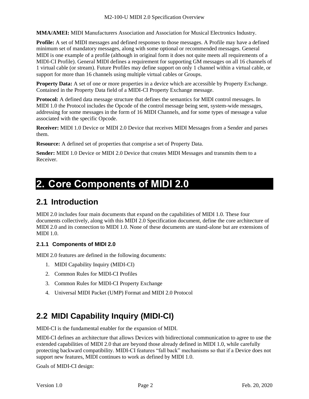**MMA/AMEI:** MIDI Manufacturers Association and Association for Musical Electronics Industry.

**Profile:** A set of MIDI messages and defined responses to those messages. A Profile may have a defined minimum set of mandatory messages, along with some optional or recommended messages. General MIDI is one example of a profile (although in original form it does not quite meets all requirements of a MIDI-CI Profile). General MIDI defines a requirement for supporting GM messages on all 16 channels of 1 virtual cable (or stream). Future Profiles may define support on only 1 channel within a virtual cable, or support for more than 16 channels using multiple virtual cables or Groups.

**Property Data:** A set of one or more properties in a device which are accessible by Property Exchange. Contained in the Property Data field of a MIDI-CI Property Exchange message.

**Protocol:** A defined data message structure that defines the semantics for MIDI control messages. In MIDI 1.0 the Protocol includes the Opcode of the control message being sent, system-wide messages, addressing for some messages in the form of 16 MIDI Channels, and for some types of message a value associated with the specific Opcode.

**Receiver:** MIDI 1.0 Device or MIDI 2.0 Device that receives MIDI Messages from a Sender and parses them.

**Resource:** A defined set of properties that comprise a set of Property Data.

**Sender:** MIDI 1.0 Device or MIDI 2.0 Device that creates MIDI Messages and transmits them to a Receiver.

## <span id="page-4-0"></span>**2. Core Components of MIDI 2.0**

### <span id="page-4-1"></span>**2.1 Introduction**

MIDI 2.0 includes four main documents that expand on the capabilities of MIDI 1.0. These four documents collectively, along with this MIDI 2.0 Specification document, define the core architecture of MIDI 2.0 and its connection to MIDI 1.0. None of these documents are stand-alone but are extensions of MIDI 1.0.

#### <span id="page-4-2"></span>**2.1.1 Components of MIDI 2.0**

MIDI 2.0 features are defined in the following documents:

- 1. MIDI Capability Inquiry (MIDI-CI)
- 2. Common Rules for MIDI-CI Profiles
- 3. Common Rules for MIDI-CI Property Exchange
- 4. Universal MIDI Packet (UMP) Format and MIDI 2.0 Protocol

## <span id="page-4-3"></span>**2.2 MIDI Capability Inquiry (MIDI-CI)**

MIDI-CI is the fundamental enabler for the expansion of MIDI.

MIDI-CI defines an architecture that allows Devices with bidirectional communication to agree to use the extended capabilities of MIDI 2.0 that are beyond those already defined in MIDI 1.0, while carefully protecting backward compatibility. MIDI-CI features "fall back" mechanisms so that if a Device does not support new features, MIDI continues to work as defined by MIDI 1.0.

Goals of MIDI-CI design: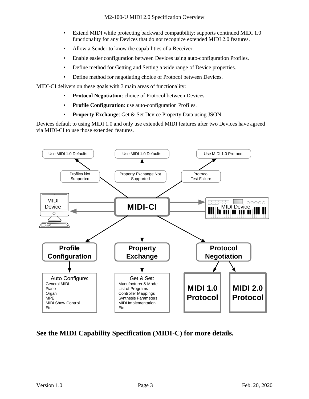- Extend MIDI while protecting backward compatibility: supports continued MIDI 1.0 functionality for any Devices that do not recognize extended MIDI 2.0 features.
- Allow a Sender to know the capabilities of a Receiver.
- Enable easier configuration between Devices using auto-configuration Profiles.
- Define method for Getting and Setting a wide range of Device properties.
- Define method for negotiating choice of Protocol between Devices.

MIDI-CI delivers on these goals with 3 main areas of functionality:

- **Protocol Negotiation**: choice of Protocol between Devices.
- **Profile Configuration**: use auto-configuration Profiles.
- **Property Exchange**: Get & Set Device Property Data using JSON.

Devices default to using MIDI 1.0 and only use extended MIDI features after two Devices have agreed via MIDI-CI to use those extended features.



#### **See the MIDI Capability Specification (MIDI-C) for more details.**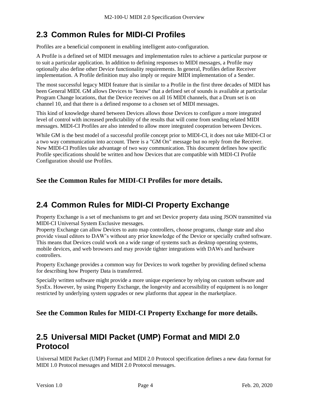## <span id="page-6-0"></span>**2.3 Common Rules for MIDI-CI Profiles**

Profiles are a beneficial component in enabling intelligent auto-configuration.

A Profile is a defined set of MIDI messages and implementation rules to achieve a particular purpose or to suit a particular application. In addition to defining responses to MIDI messages, a Profile may optionally also define other Device functionality requirements. In general, Profiles define Receiver implementation. A Profile definition may also imply or require MIDI implementation of a Sender.

The most successful legacy MIDI feature that is similar to a Profile in the first three decades of MIDI has been General MIDI. GM allows Devices to "know" that a defined set of sounds is available at particular Program Change locations, that the Device receives on all 16 MIDI channels, that a Drum set is on channel 10, and that there is a defined response to a chosen set of MIDI messages.

This kind of knowledge shared between Devices allows those Devices to configure a more integrated level of control with increased predictability of the results that will come from sending related MIDI messages. MIDI-CI Profiles are also intended to allow more integrated cooperation between Devices.

While GM is the best model of a successful profile concept prior to MIDI-CI, it does not take MIDI-CI or a two way communication into account. There is a "GM On" message but no reply from the Receiver. New MIDI-CI Profiles take advantage of two way communication. This document defines how specific Profile specifications should be written and how Devices that are compatible with MIDI-CI Profile Configuration should use Profiles.

**See the Common Rules for MIDI-CI Profiles for more details.**

## <span id="page-6-1"></span>**2.4 Common Rules for MIDI-CI Property Exchange**

Property Exchange is a set of mechanisms to get and set Device property data using JSON transmitted via MIDI-CI Universal System Exclusive messages.

Property Exchange can allow Devices to auto map controllers, choose programs, change state and also provide visual editors to DAW's without any prior knowledge of the Device or specially crafted software. This means that Devices could work on a wide range of systems such as desktop operating systems, mobile devices, and web browsers and may provide tighter integrations with DAWs and hardware controllers.

Property Exchange provides a common way for Devices to work together by providing defined schema for describing how Property Data is transferred.

Specially written software might provide a more unique experience by relying on custom software and SysEx. However, by using Property Exchange, the longevity and accessibility of equipment is no longer restricted by underlying system upgrades or new platforms that appear in the marketplace.

#### **See the Common Rules for MIDI-CI Property Exchange for more details.**

### <span id="page-6-2"></span>**2.5 Universal MIDI Packet (UMP) Format and MIDI 2.0 Protocol**

Universal MIDI Packet (UMP) Format and MIDI 2.0 Protocol specification defines a new data format for MIDI 1.0 Protocol messages and MIDI 2.0 Protocol messages.